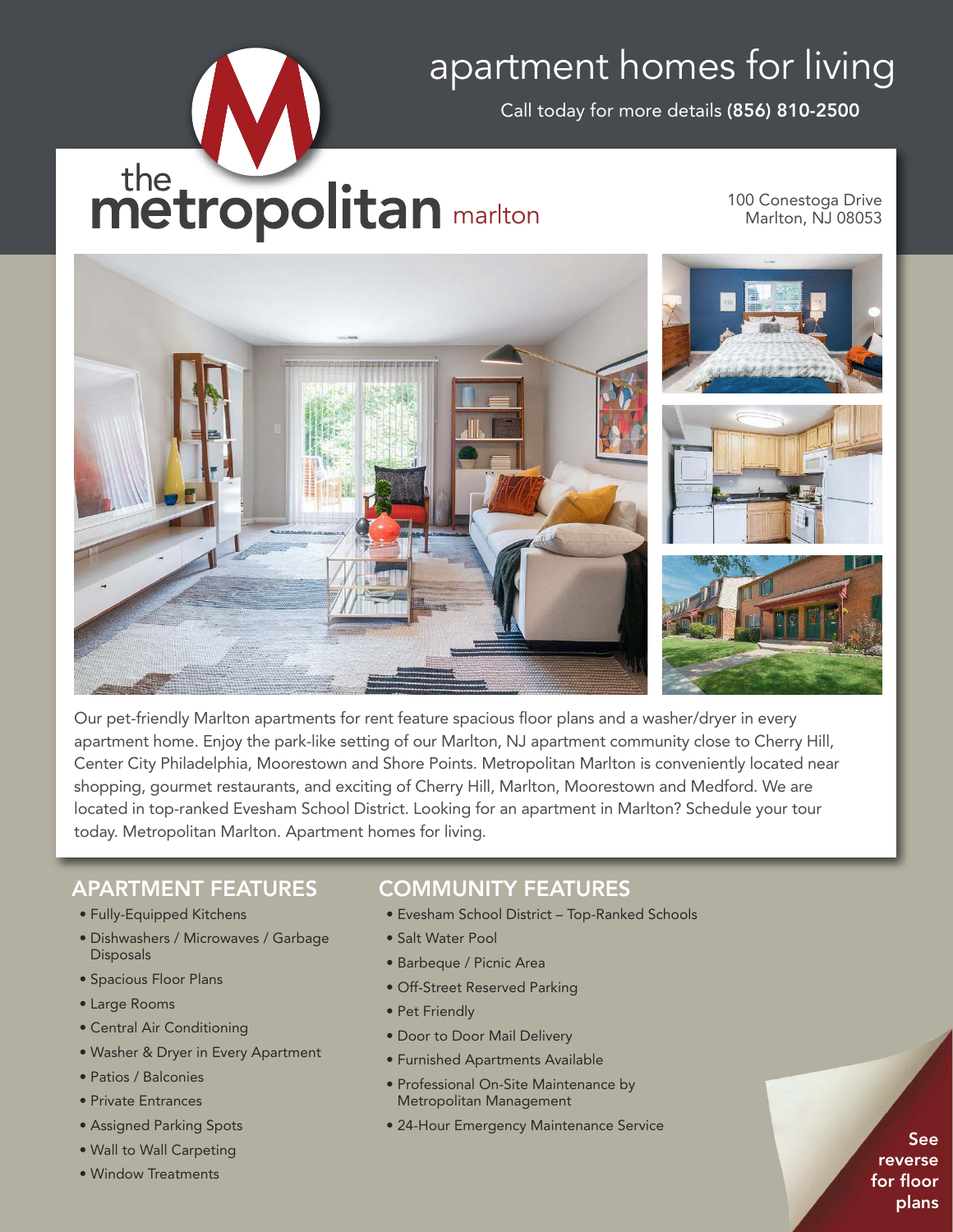# apartment homes for living

Call today for more details (856) 810-2500

# the metropolitan marlton

100 Conestoga Drive Marlton, NJ 08053



Our pet-friendly Marlton apartments for rent feature spacious floor plans and a washer/dryer in every apartment home. Enjoy the park-like setting of our Marlton, NJ apartment community close to Cherry Hill, Center City Philadelphia, Moorestown and Shore Points. Metropolitan Marlton is conveniently located near shopping, gourmet restaurants, and exciting of Cherry Hill, Marlton, Moorestown and Medford. We are located in top-ranked Evesham School District. Looking for an apartment in Marlton? Schedule your tour today. Metropolitan Marlton. Apartment homes for living.

## APARTMENT FEATURES

- Fully-Equipped Kitchens
- Dishwashers / Microwaves / Garbage **Disposals**
- Spacious Floor Plans
- Large Rooms
- Central Air Conditioning
- Washer & Dryer in Every Apartment
- Patios / Balconies
- Private Entrances
- Assigned Parking Spots
- Wall to Wall Carpeting
- Window Treatments

## COMMUNITY FEATURES

- Evesham School District Top-Ranked Schools
- Salt Water Pool
- Barbeque / Picnic Area
- Off-Street Reserved Parking
- Pet Friendly
- Door to Door Mail Delivery
- Furnished Apartments Available
- Professional On-Site Maintenance by Metropolitan Management
- 24-Hour Emergency Maintenance Service

See reverse for floor plans